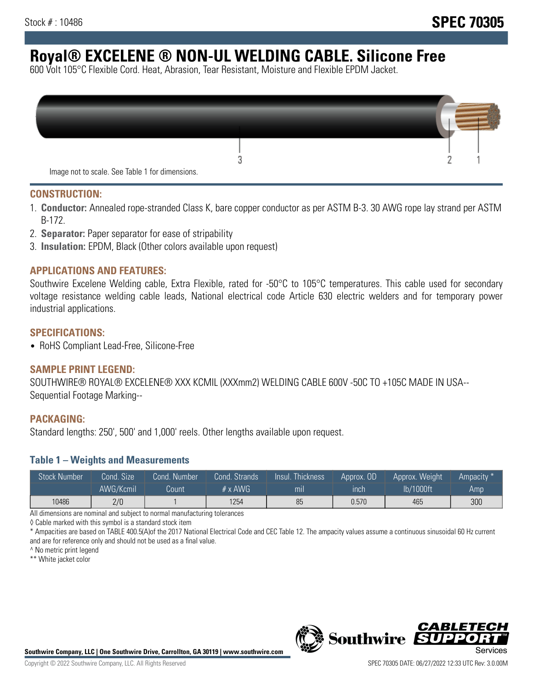# **Royal® EXCELENE ® NON-UL WELDING CABLE. Silicone Free**

600 Volt 105°C Flexible Cord. Heat, Abrasion, Tear Resistant, Moisture and Flexible EPDM Jacket.

| Image not to scale. See Table 1 for dimensions. |  |
|-------------------------------------------------|--|

#### **CONSTRUCTION:**

- 1. **Conductor:** Annealed rope-stranded Class K, bare copper conductor as per ASTM B-3. 30 AWG rope lay strand per ASTM B-172.
- 2. **Separator:** Paper separator for ease of stripability
- 3. **Insulation:** EPDM, Black (Other colors available upon request)

#### **APPLICATIONS AND FEATURES:**

Southwire Excelene Welding cable, Extra Flexible, rated for -50°C to 105°C temperatures. This cable used for secondary voltage resistance welding cable leads, National electrical code Article 630 electric welders and for temporary power industrial applications.

#### **SPECIFICATIONS:**

• RoHS Compliant Lead-Free, Silicone-Free

#### **SAMPLE PRINT LEGEND:**

SOUTHWIRE® ROYAL® EXCELENE® XXX KCMIL (XXXmm2) WELDING CABLE 600V -50C TO +105C MADE IN USA-- Sequential Footage Marking--

#### **PACKAGING:**

Standard lengths: 250', 500' and 1,000' reels. Other lengths available upon request.

#### **Table 1 – Weights and Measurements**

| <b>Stock Number</b> | Cond. Size | Cond. Number | Cond. Strands   | Insul. Thickness | Approx. OD | Approx. Weight | Ampacity * |
|---------------------|------------|--------------|-----------------|------------------|------------|----------------|------------|
|                     | AWG/Kcmil  | Count        | $# \times$ AWG. | mı               | inch       | lb/1000ft      | Amp        |
| 10486               | 2/0        |              | 1254            | 85               | 0.570      | 465            | 300        |

All dimensions are nominal and subject to normal manufacturing tolerances

◊ Cable marked with this symbol is a standard stock item

\* Ampacities are based on TABLE 400.5(A)of the 2017 National Electrical Code and CEC Table 12. The ampacity values assume a continuous sinusoidal 60 Hz current and are for reference only and should not be used as a final value.

^ No metric print legend

\*\* White jacket color



*CABLE*